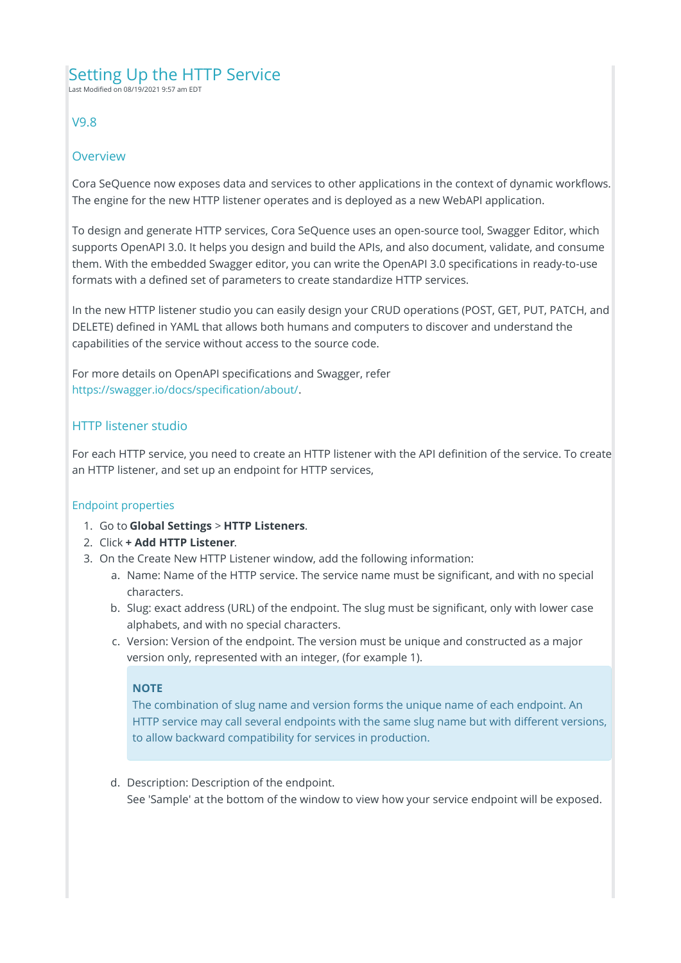# Setting Up the HTTP Service

Last Modified on 08/19/2021 9:57 am EDT

# V9.8

### Overview

Cora SeQuence now exposes data and services to other applications in the context of dynamic workflows. The engine for the new HTTP listener operates and is deployed as a new WebAPI application.

To design and generate HTTP services, Cora SeQuence uses an open-source tool, Swagger Editor, which supports OpenAPI 3.0. It helps you design and build the APIs, and also document, validate, and consume them. With the embedded Swagger editor, you can write the OpenAPI 3.0 specifications in ready-to-use formats with a defined set of parameters to create standardize HTTP services.

In the new HTTP listener studio you can easily design your CRUD operations (POST, GET, PUT, PATCH, and DELETE) defined in YAML that allows both humans and computers to discover and understand the capabilities of the service without access to the source code.

For more details on OpenAPI specifications and Swagger, refer https://swagger.io/docs/specification/about/.

# HTTP listener studio

For each HTTP service, you need to create an HTTP listener with the API definition of the service. To create an HTTP listener, and set up an endpoint for HTTP services,

### Endpoint properties

- 1. Go to **Global Settings** > **HTTP Listeners**.
- 2. Click **+ Add HTTP Listener**.
- 3. On the Create New HTTP Listener window, add the following information:
	- a. Name: Name of the HTTP service. The service name must be significant, and with no special characters.
	- b. Slug: exact address (URL) of the endpoint. The slug must be significant, only with lower case alphabets, and with no special characters.
	- c. Version: Version of the endpoint. The version must be unique and constructed as a major version only, represented with an integer, (for example 1).

### **NOTE**

The combination of slug name and version forms the unique name of each endpoint. An HTTP service may call several endpoints with the same slug name but with different versions, to allow backward compatibility for services in production.

d. Description: Description of the endpoint. See 'Sample' at the bottom of the window to view how your service endpoint will be exposed.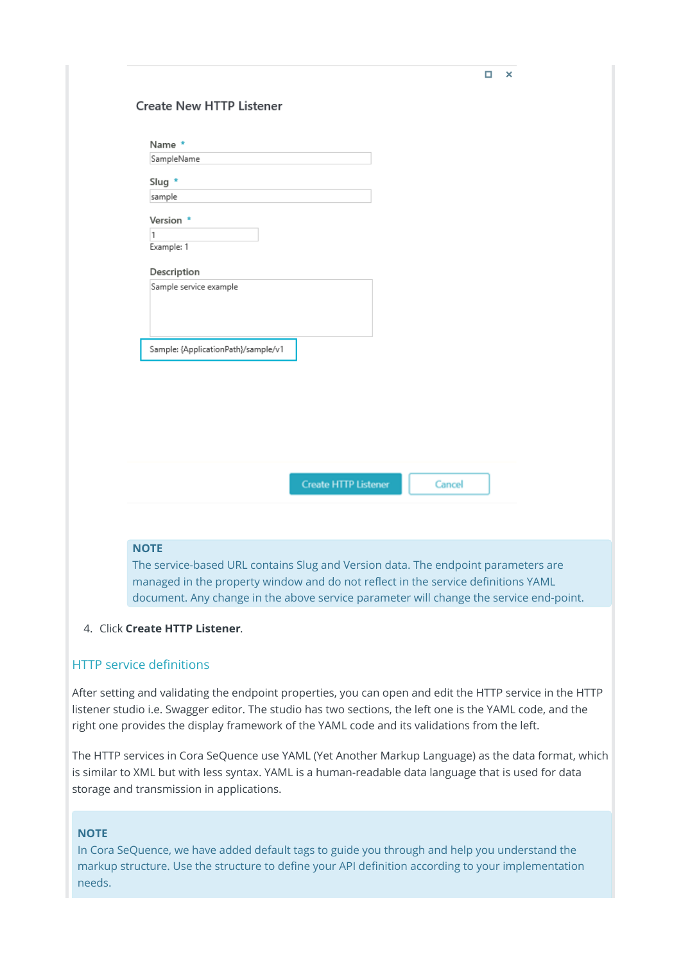| Name *<br>SampleName                |                             |        |  |
|-------------------------------------|-----------------------------|--------|--|
|                                     |                             |        |  |
| Slug *                              |                             |        |  |
| sample                              |                             |        |  |
| Version *                           |                             |        |  |
| 1                                   |                             |        |  |
| Example: 1                          |                             |        |  |
| Description                         |                             |        |  |
| Sample service example              |                             |        |  |
|                                     |                             |        |  |
|                                     |                             |        |  |
|                                     |                             |        |  |
| Sample: {ApplicationPath}/sample/v1 |                             |        |  |
|                                     |                             |        |  |
|                                     |                             |        |  |
|                                     |                             |        |  |
|                                     |                             |        |  |
|                                     |                             |        |  |
|                                     |                             |        |  |
|                                     |                             |        |  |
|                                     | <b>Create HTTP Listener</b> | Cancel |  |
|                                     |                             |        |  |
|                                     |                             |        |  |

# document. Any change in the above service parameter will change the service end-point.

### 4. Click **Create HTTP Listener**.

### HTTP service definitions

After setting and validating the endpoint properties, you can open and edit the HTTP service in the HTTP listener studio i.e. Swagger editor. The studio has two sections, the left one is the YAML code, and the right one provides the display framework of the YAML code and its validations from the left.

The HTTP services in Cora SeQuence use YAML (Yet Another Markup Language) as the data format, which is similar to XML but with less syntax. YAML is a human-readable data language that is used for data storage and transmission in applications.

### **NOTE**

In Cora SeQuence, we have added default tags to guide you through and help you understand the markup structure. Use the structure to define your API definition according to your implementation needs.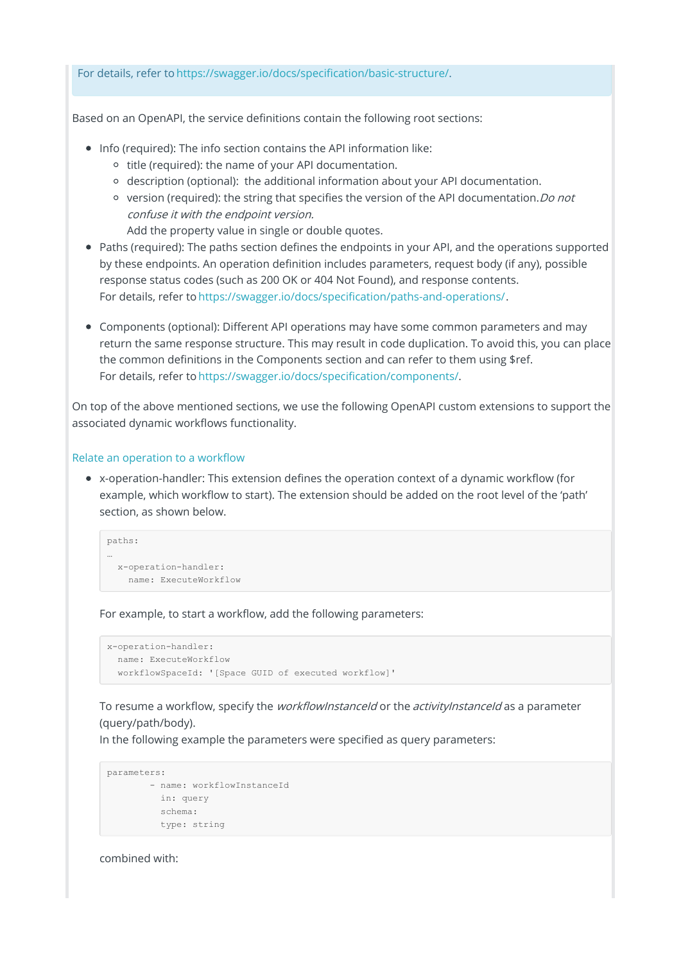For details, refer to https://swagger.io/docs/specification/basic-structure/.

Based on an OpenAPI, the service definitions contain the following root sections:

- Info (required): The info section contains the API information like:
	- o title (required): the name of your API documentation.
	- description (optional): the additional information about your API documentation.
	- $\circ$  version (required): the string that specifies the version of the API documentation. *Do not* confuse it with the endpoint version.

Add the property value in single or double quotes.

- Paths (required): The paths section defines the endpoints in your API, and the operations supported by these endpoints. An operation definition includes parameters, request body (if any), possible response status codes (such as 200 OK or 404 Not Found), and response contents. For details, refer to https://swagger.io/docs/specification/paths-and-operations/.
- Components (optional): Different API operations may have some common parameters and may return the same response structure. This may result in code duplication. To avoid this, you can place the common definitions in the Components section and can refer to them using \$ref. For details, refer to https://swagger.io/docs/specification/components/.

On top of the above mentioned sections, we use the following OpenAPI custom extensions to support the associated dynamic workflows functionality.

#### Relate an operation to a workflow

x-operation-handler: This extension defines the operation context of a dynamic workflow (for example, which workflow to start). The extension should be added on the root level of the 'path' section, as shown below.

```
paths:
…
 x-operation-handler:
   name: ExecuteWorkflow
```
For example, to start a workflow, add the following parameters:

```
x-operation-handler:
 name: ExecuteWorkflow
  workflowSpaceId: '[Space GUID of executed workflow]'
```
To resume a workflow, specify the *workflowInstanceId* or the *activityInstanceId* as a parameter (query/path/body).

In the following example the parameters were specified as query parameters:

```
parameters:
      - name: workflowInstanceId
        in: query
        schema:
         type: string
```
combined with: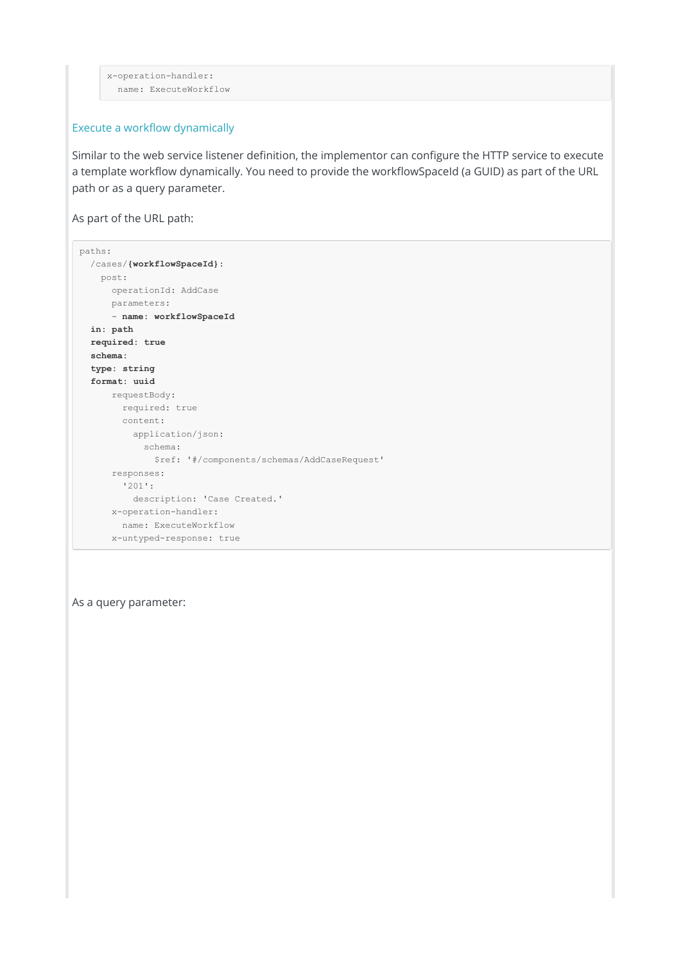```
x-operation-handler:
 name: ExecuteWorkflow
```
#### Execute a workflow dynamically

Similar to the web service listener definition, the implementor can configure the HTTP service to execute a template workflow dynamically. You need to provide the workflowSpaceId (a GUID) as part of the URL path or as a query parameter.

As part of the URL path:

```
paths:
 /cases/{workflowSpaceId}:
  post:
    operationId: AddCase
    parameters:
     - name: workflowSpaceId
  in: path
  required: true
  schema:
  type: string
  format: uuid
     requestBody:
      required: true
      content:
        application/json:
           schema:
            $ref: '#/components/schemas/AddCaseRequest'
     responses:
       '201':
        description: 'Case Created.'
     x-operation-handler:
       name: ExecuteWorkflow
     x-untyped-response: true
```
As a query parameter: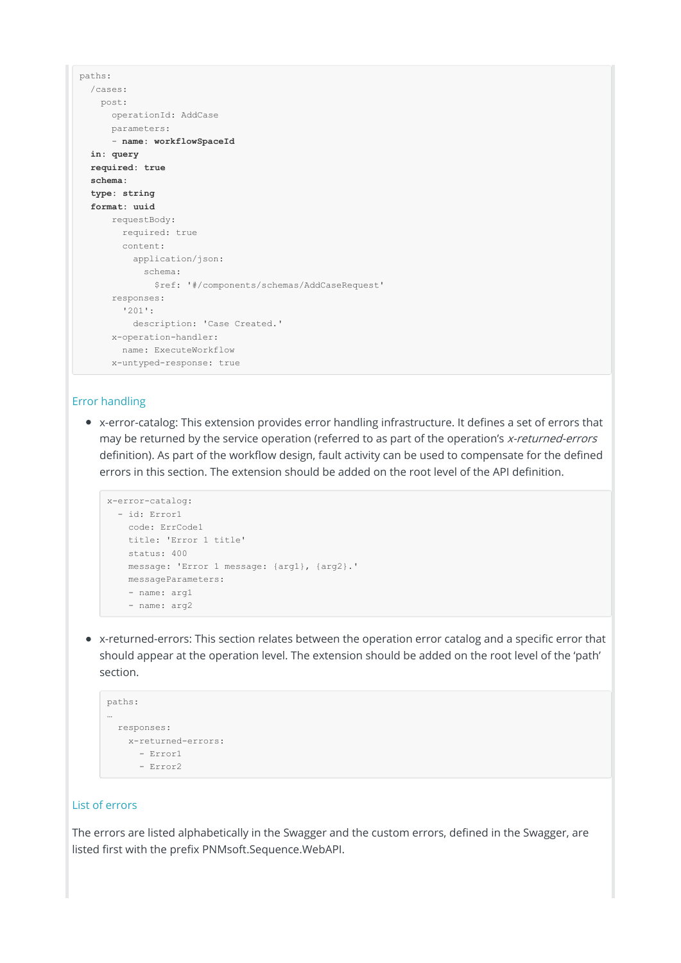```
paths:
 /cases:
   post:
     operationId: AddCase
    parameters:
      - name: workflowSpaceId
 in: query
 required: true
 schema:
 type: string
 format: uuid
     requestBody:
      required: true
      content:
        application/json:
          schema:
            $ref: '#/components/schemas/AddCaseRequest'
     responses:
       '201':
        description: 'Case Created.'
     x-operation-handler:
      name: ExecuteWorkflow
     x-untyped-response: true
```
#### Error handling

x-error-catalog: This extension provides error handling infrastructure. It defines a set of errors that may be returned by the service operation (referred to as part of the operation's x-returned-errors definition). As part of the workflow design, fault activity can be used to compensate for the defined errors in this section. The extension should be added on the root level of the API definition.

```
x-error-catalog:
  - id: Error1
   code: ErrCode1
   title: 'Error 1 title'
   status: 400
   message: 'Error 1 message: {arg1}, {arg2}.'
   messageParameters:
   - name: arg1
    - name: arg2
```
x-returned-errors: This section relates between the operation error catalog and a specific error that should appear at the operation level. The extension should be added on the root level of the 'path' section.

```
paths:
…
 responses:
  x-returned-errors:
     - Error1
      - Error2
```
### List of errors

The errors are listed alphabetically in the Swagger and the custom errors, defined in the Swagger, are listed first with the prefix PNMsoft.Sequence.WebAPI.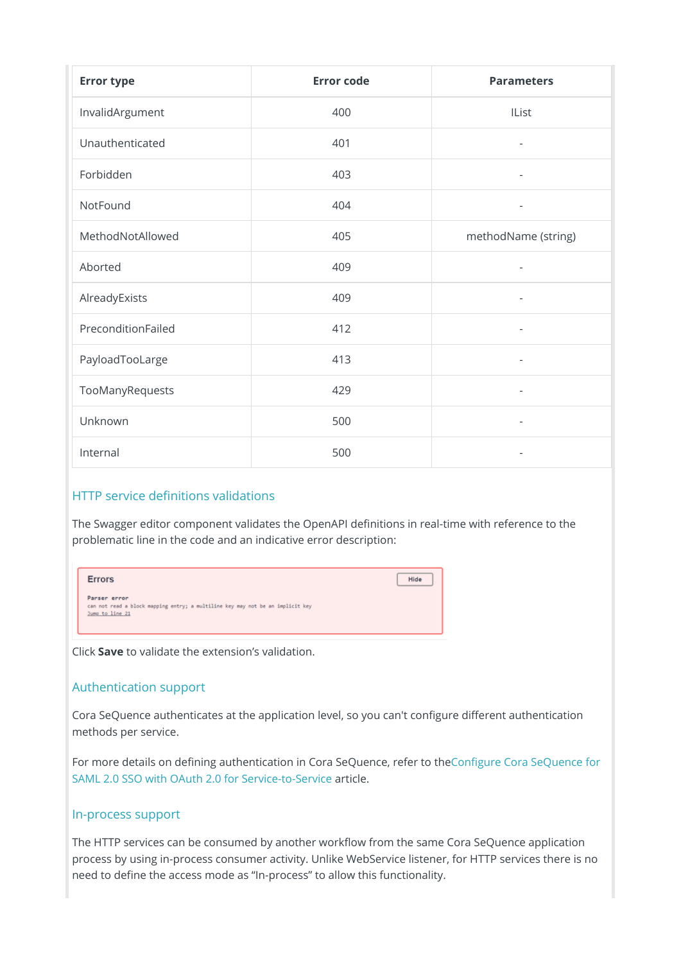| <b>Error type</b>  | <b>Error code</b> | <b>Parameters</b>        |
|--------------------|-------------------|--------------------------|
| InvalidArgument    | 400               | IList                    |
| Unauthenticated    | 401               | $\overline{\phantom{a}}$ |
| Forbidden          | 403               | $\overline{\phantom{a}}$ |
| NotFound           | 404               | $\overline{\phantom{a}}$ |
| MethodNotAllowed   | 405               | methodName (string)      |
| Aborted            | 409               | $\bar{a}$                |
| AlreadyExists      | 409               | $\overline{\phantom{a}}$ |
| PreconditionFailed | 412               | $\overline{\phantom{a}}$ |
| PayloadTooLarge    | 413               |                          |
| TooManyRequests    | 429               | $\overline{\phantom{a}}$ |
| Unknown            | 500               | $\overline{\phantom{a}}$ |
| Internal           | 500               | $\overline{\phantom{a}}$ |

### HTTP service definitions validations

The Swagger editor component validates the OpenAPI definitions in real-time with reference to the problematic line in the code and an indicative error description:

| <b>Errors</b>                                                                                                     | Hide |
|-------------------------------------------------------------------------------------------------------------------|------|
| Parser error<br>can not read a block mapping entry; a multiline key may not be an implicit key<br>Jump to line 21 |      |

Click **Save** to validate the extension's validation.

### Authentication support

Cora SeQuence authenticates at the application level, so you can't configure different authentication methods per service.

For more details on defining authentication in Cora SeQuence, refer to theConfigure Cora SeQuence for SAML 2.0 SSO with OAuth 2.0 for Service-to-Service article.

### In-process support

The HTTP services can be consumed by another workflow from the same Cora SeQuence application process by using in-process consumer activity. Unlike WebService listener, for HTTP services there is no need to define the access mode as "In-process" to allow this functionality.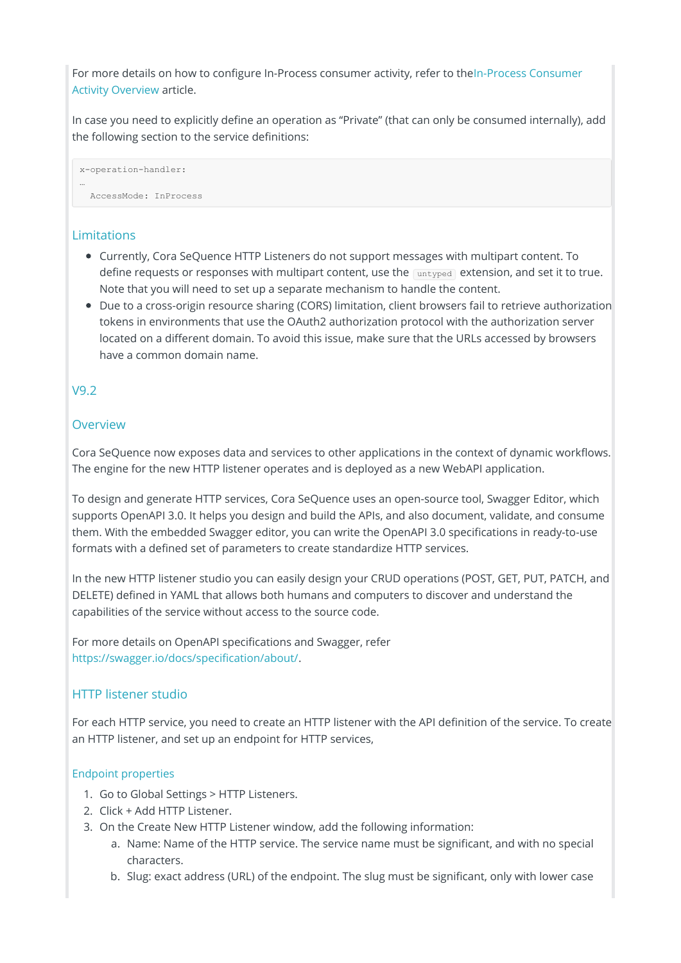For more details on how to configure In-Process consumer activity, refer to theIn-Process Consumer Activity Overview article.

In case you need to explicitly define an operation as "Private" (that can only be consumed internally), add the following section to the service definitions:

x-operation-handler: … AccessMode: InProcess

# **Limitations**

- Currently, Cora SeQuence HTTP Listeners do not support messages with multipart content. To define requests or responses with multipart content, use the untyped extension, and set it to true. Note that you will need to set up a separate mechanism to handle the content.
- Due to a cross-origin resource sharing (CORS) limitation, client browsers fail to retrieve authorization tokens in environments that use the OAuth2 authorization protocol with the authorization server located on a different domain. To avoid this issue, make sure that the URLs accessed by browsers have a common domain name.

# V9.2

# **Overview**

Cora SeQuence now exposes data and services to other applications in the context of dynamic workflows. The engine for the new HTTP listener operates and is deployed as a new WebAPI application.

To design and generate HTTP services, Cora SeQuence uses an open-source tool, Swagger Editor, which supports OpenAPI 3.0. It helps you design and build the APIs, and also document, validate, and consume them. With the embedded Swagger editor, you can write the OpenAPI 3.0 specifications in ready-to-use formats with a defined set of parameters to create standardize HTTP services.

In the new HTTP listener studio you can easily design your CRUD operations (POST, GET, PUT, PATCH, and DELETE) defined in YAML that allows both humans and computers to discover and understand the capabilities of the service without access to the source code.

For more details on OpenAPI specifications and Swagger, refer https://swagger.io/docs/specification/about/.

# HTTP listener studio

For each HTTP service, you need to create an HTTP listener with the API definition of the service. To create an HTTP listener, and set up an endpoint for HTTP services,

### Endpoint properties

- 1. Go to Global Settings > HTTP Listeners.
- 2. Click + Add HTTP Listener.
- 3. On the Create New HTTP Listener window, add the following information:
	- a. Name: Name of the HTTP service. The service name must be significant, and with no special characters.
	- b. Slug: exact address (URL) of the endpoint. The slug must be significant, only with lower case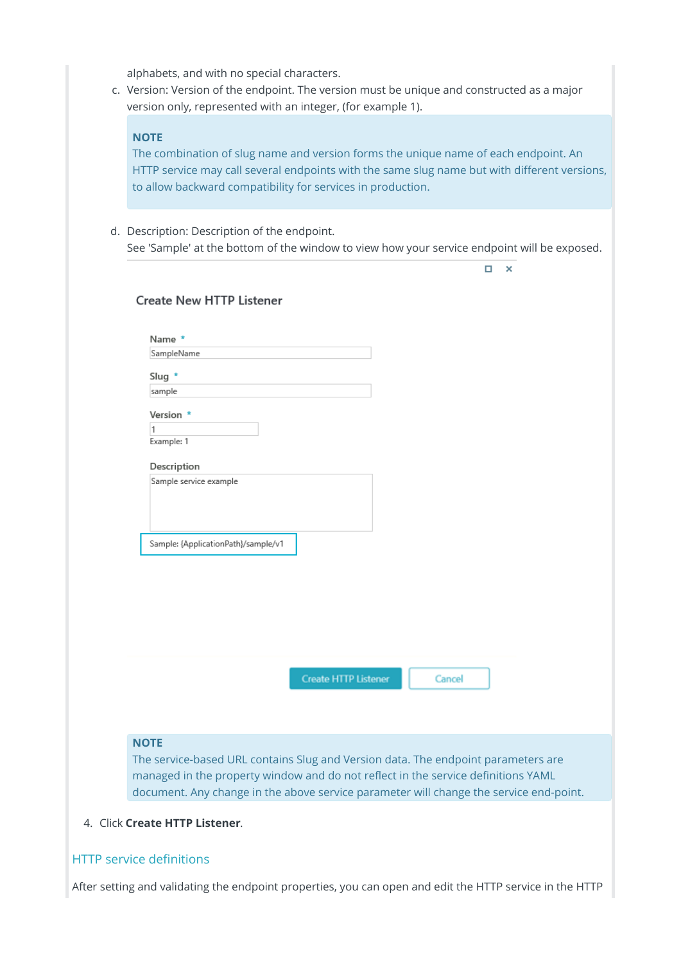alphabets, and with no special characters.

c. Version: Version of the endpoint. The version must be unique and constructed as a major version only, represented with an integer, (for example 1).

#### **NOTE**

The combination of slug name and version forms the unique name of each endpoint. An HTTP service may call several endpoints with the same slug name but with different versions, to allow backward compatibility for services in production.

d. Description: Description of the endpoint. See 'Sample' at the bottom of the window to view how your service endpoint will be exposed.

|                                                                                                  |                             |        | □ | × |
|--------------------------------------------------------------------------------------------------|-----------------------------|--------|---|---|
| <b>Create New HTTP Listener</b>                                                                  |                             |        |   |   |
|                                                                                                  |                             |        |   |   |
| Name *                                                                                           |                             |        |   |   |
| SampleName                                                                                       |                             |        |   |   |
| Slug *                                                                                           |                             |        |   |   |
| sample                                                                                           |                             |        |   |   |
| Version *                                                                                        |                             |        |   |   |
| 1                                                                                                |                             |        |   |   |
| Example: 1                                                                                       |                             |        |   |   |
| Description                                                                                      |                             |        |   |   |
| Sample service example                                                                           |                             |        |   |   |
|                                                                                                  |                             |        |   |   |
|                                                                                                  |                             |        |   |   |
|                                                                                                  |                             |        |   |   |
| Sample: {ApplicationPath}/sample/v1                                                              |                             |        |   |   |
|                                                                                                  |                             |        |   |   |
|                                                                                                  |                             |        |   |   |
|                                                                                                  |                             |        |   |   |
|                                                                                                  |                             |        |   |   |
|                                                                                                  |                             |        |   |   |
|                                                                                                  |                             |        |   |   |
|                                                                                                  | <b>Create HTTP Listener</b> | Cancel |   |   |
|                                                                                                  |                             |        |   |   |
|                                                                                                  |                             |        |   |   |
|                                                                                                  |                             |        |   |   |
|                                                                                                  |                             |        |   |   |
| <b>NOTE</b><br>The service-based URL contains Slug and Version data. The endpoint parameters are |                             |        |   |   |

document. Any change in the above service parameter will change the service end-point.

4. Click **Create HTTP Listener**.

### HTTP service definitions

After setting and validating the endpoint properties, you can open and edit the HTTP service in the HTTP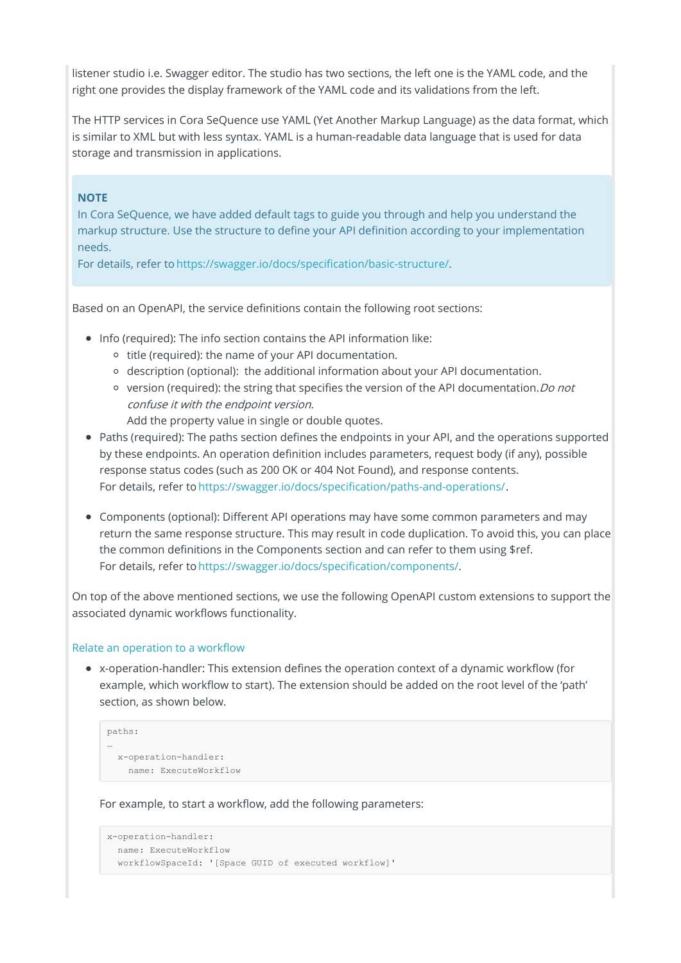listener studio i.e. Swagger editor. The studio has two sections, the left one is the YAML code, and the right one provides the display framework of the YAML code and its validations from the left.

The HTTP services in Cora SeQuence use YAML (Yet Another Markup Language) as the data format, which is similar to XML but with less syntax. YAML is a human-readable data language that is used for data storage and transmission in applications.

### **NOTE**

In Cora SeQuence, we have added default tags to guide you through and help you understand the markup structure. Use the structure to define your API definition according to your implementation needs.

For details, refer to https://swagger.io/docs/specification/basic-structure/.

Based on an OpenAPI, the service definitions contain the following root sections:

- Info (required): The info section contains the API information like:
	- o title (required): the name of your API documentation.
	- $\circ$  description (optional): the additional information about your API documentation.
	- $\circ$  version (required): the string that specifies the version of the API documentation. *Do not* confuse it with the endpoint version.
		- Add the property value in single or double quotes.
- Paths (required): The paths section defines the endpoints in your API, and the operations supported by these endpoints. An operation definition includes parameters, request body (if any), possible response status codes (such as 200 OK or 404 Not Found), and response contents. For details, refer to https://swagger.io/docs/specification/paths-and-operations/.
- Components (optional): Different API operations may have some common parameters and may return the same response structure. This may result in code duplication. To avoid this, you can place the common definitions in the Components section and can refer to them using \$ref. For details, refer to https://swagger.io/docs/specification/components/.

On top of the above mentioned sections, we use the following OpenAPI custom extensions to support the associated dynamic workflows functionality.

### Relate an operation to a workflow

x-operation-handler: This extension defines the operation context of a dynamic workflow (for example, which workflow to start). The extension should be added on the root level of the 'path' section, as shown below.

```
paths:
…
 x-operation-handler:
   name: ExecuteWorkflow
```
For example, to start a workflow, add the following parameters:

```
x-operation-handler:
 name: ExecuteWorkflow
 workflowSpaceId: '[Space GUID of executed workflow]'
```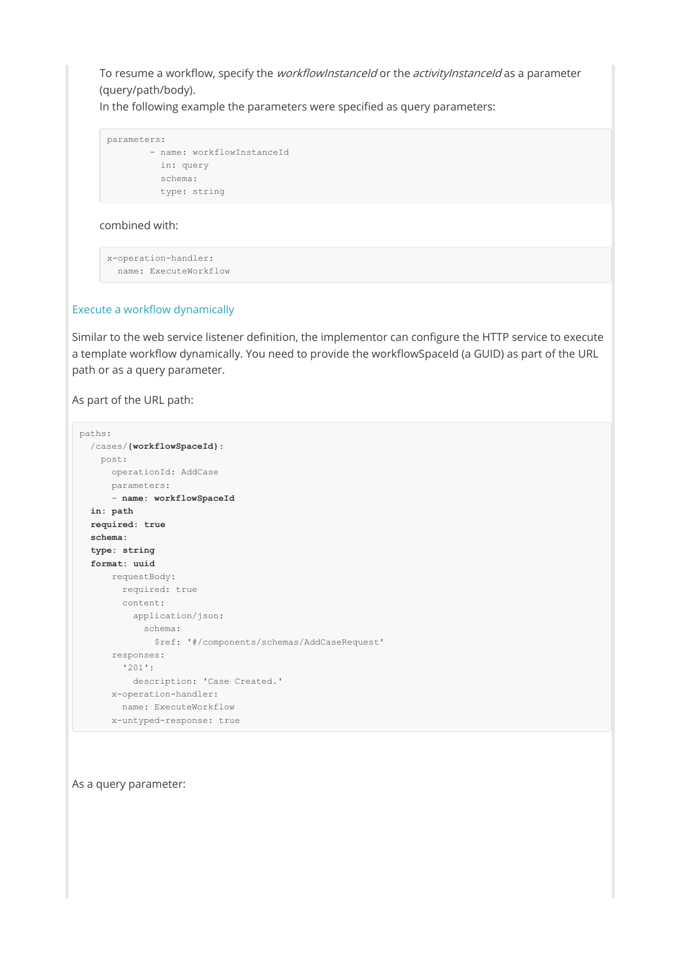To resume a workflow, specify the *workflowInstanceId* or the *activityInstanceId* as a parameter (query/path/body).

In the following example the parameters were specified as query parameters:

```
parameters:
      - name: workflowInstanceId
        in: query
        schema:
        type: string
```
combined with:

```
x-operation-handler:
 name: ExecuteWorkflow
```
#### Execute a workflow dynamically

Similar to the web service listener definition, the implementor can configure the HTTP service to execute a template workflow dynamically. You need to provide the workflowSpaceId (a GUID) as part of the URL path or as a query parameter.

As part of the URL path:

```
paths:
 /cases/{workflowSpaceId}:
  post:
     operationId: AddCase
    parameters:
     - name: workflowSpaceId
  in: path
  required: true
  schema:
  type: string
  format: uuid
     requestBody:
       required: true
       content:
         application/json:
           schema:
             $ref: '#/components/schemas/AddCaseRequest'
     responses:
       '201':
         description: 'Case Created.'
     x-operation-handler:
       name: ExecuteWorkflow
     x-untyped-response: true
```
As a query parameter: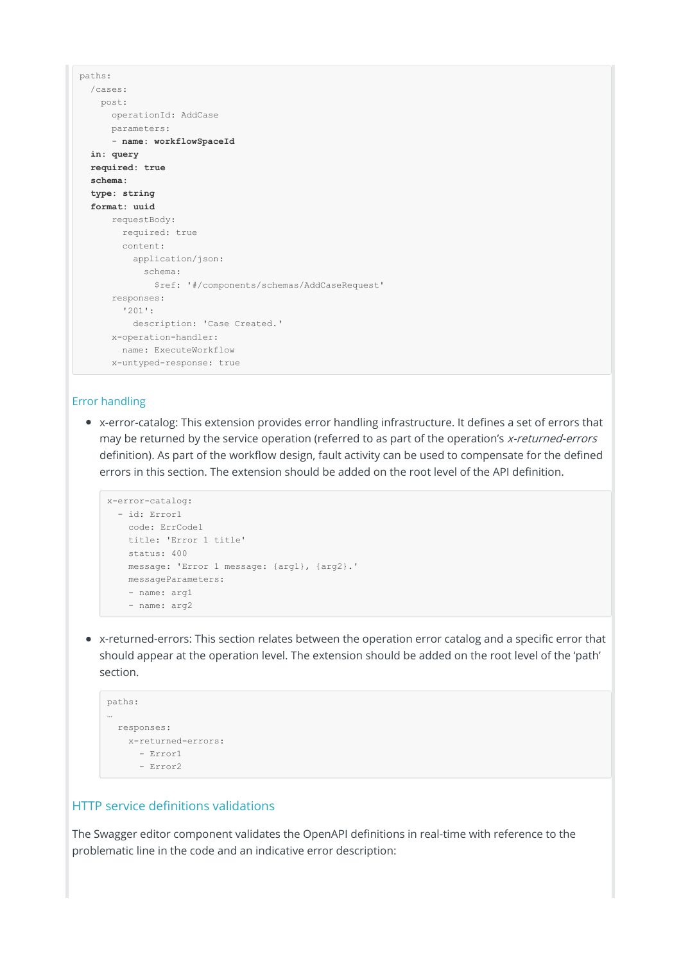```
paths:
 /cases:
   post:
     operationId: AddCase
    parameters:
      - name: workflowSpaceId
 in: query
 required: true
 schema:
 type: string
 format: uuid
     requestBody:
      required: true
      content:
        application/json:
          schema:
            $ref: '#/components/schemas/AddCaseRequest'
     responses:
       '201':
        description: 'Case Created.'
     x-operation-handler:
      name: ExecuteWorkflow
     x-untyped-response: true
```
#### Error handling

x-error-catalog: This extension provides error handling infrastructure. It defines a set of errors that may be returned by the service operation (referred to as part of the operation's x-returned-errors definition). As part of the workflow design, fault activity can be used to compensate for the defined errors in this section. The extension should be added on the root level of the API definition.

```
x-error-catalog:
  - id: Error1
   code: ErrCode1
   title: 'Error 1 title'
   status: 400
   message: 'Error 1 message: {arg1}, {arg2}.'
   messageParameters:
   - name: arg1
    - name: arg2
```
x-returned-errors: This section relates between the operation error catalog and a specific error that should appear at the operation level. The extension should be added on the root level of the 'path' section.

```
paths:
…
 responses:
  x-returned-errors:
     - Error1
      - Error2
```
### HTTP service definitions validations

The Swagger editor component validates the OpenAPI definitions in real-time with reference to the problematic line in the code and an indicative error description: